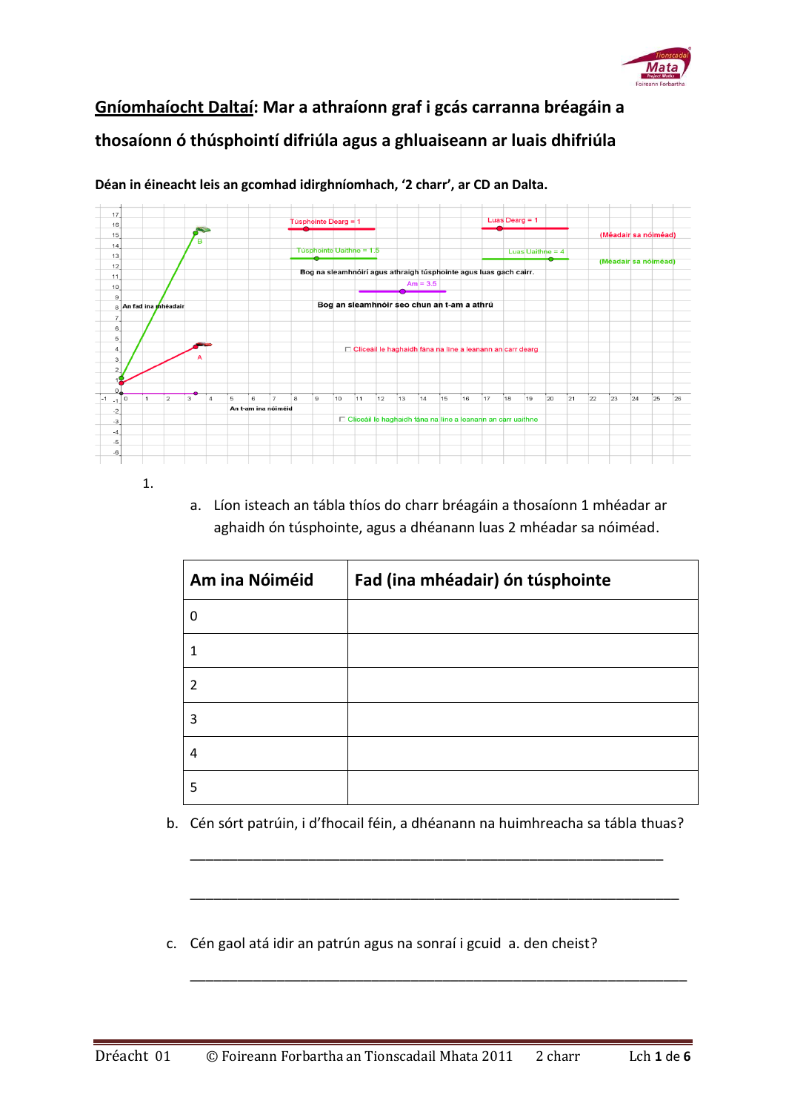

## **Gníomhaíocht Daltaí: Mar a athraíonn graf i gcás carranna bréagáin a thosaíonn ó thúsphointí difriúla agus a ghluaiseann ar luais dhifriúla**



**Déan in éineacht leis an gcomhad idirghníomhach, '2 charr', ar CD an Dalta.**

a. Líon isteach an tábla thíos do charr bréagáin a thosaíonn 1 mhéadar ar aghaidh ón túsphointe, agus a dhéanann luas 2 mhéadar sa nóiméad.

| Am ina Nóiméid | Fad (ina mhéadair) ón túsphointe |
|----------------|----------------------------------|
| $\Omega$       |                                  |
| 1              |                                  |
| $\mathfrak z$  |                                  |
| 3              |                                  |
| 4              |                                  |
| 5              |                                  |

b. Cén sórt patrúin, i d'fhocail féin, a dhéanann na huimhreacha sa tábla thuas?

\_\_\_\_\_\_\_\_\_\_\_\_\_\_\_\_\_\_\_\_\_\_\_\_\_\_\_\_\_\_\_\_\_\_\_\_\_\_\_\_\_\_\_\_\_\_\_\_\_\_\_\_\_\_\_\_\_\_\_\_

\_\_\_\_\_\_\_\_\_\_\_\_\_\_\_\_\_\_\_\_\_\_\_\_\_\_\_\_\_\_\_\_\_\_\_\_\_\_\_\_\_\_\_\_\_\_\_\_\_\_\_\_\_\_\_\_\_\_\_\_\_\_

\_\_\_\_\_\_\_\_\_\_\_\_\_\_\_\_\_\_\_\_\_\_\_\_\_\_\_\_\_\_\_\_\_\_\_\_\_\_\_\_\_\_\_\_\_\_\_\_\_\_\_\_\_\_\_\_\_\_\_\_\_\_\_

c. Cén gaol atá idir an patrún agus na sonraí i gcuid a. den cheist?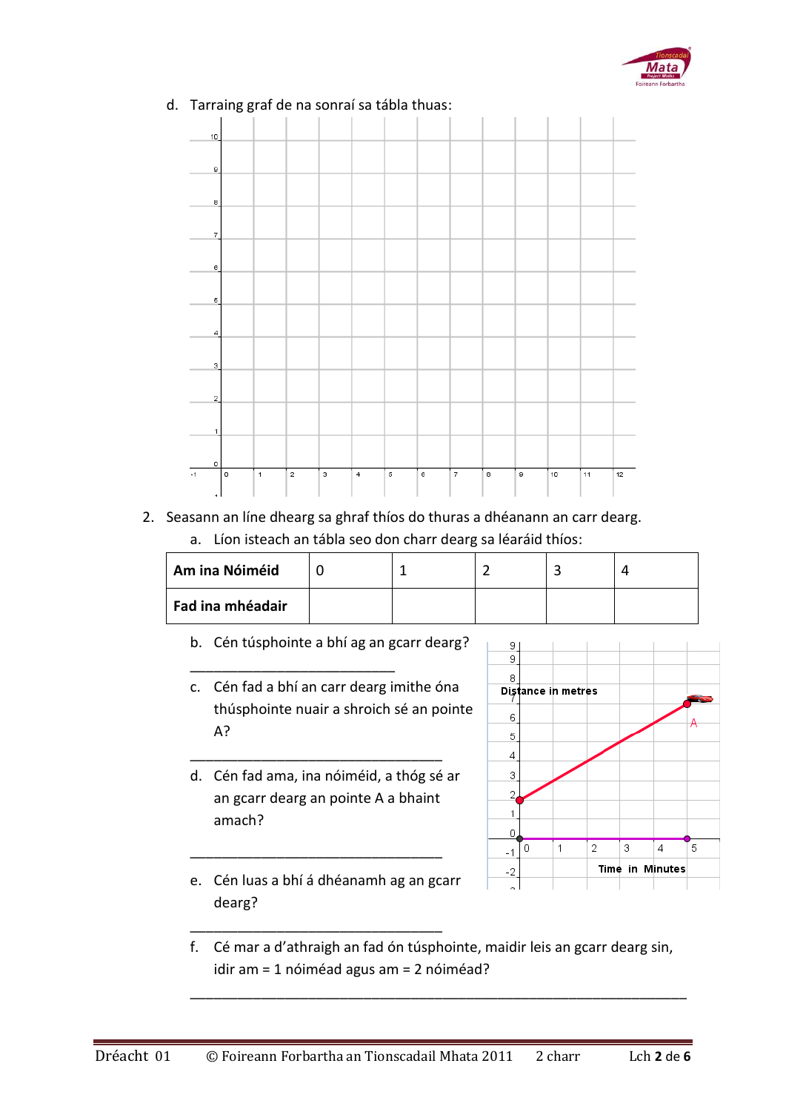



## d. Tarraing graf de na sonraí sa tábla thuas:

2. Seasann an líne dhearg sa ghraf thíos do thuras a dhéanann an carr dearg. a. Líon isteach an tábla seo don charr dearg sa léaráid thíos:

| Am ina Nóiméid   |  |  |  |
|------------------|--|--|--|
| Fad ina mhéadair |  |  |  |

b. Cén túsphointe a bhí ag an gcarr dearg?

\_\_\_\_\_\_\_\_\_\_\_\_\_\_\_\_\_\_\_\_\_\_\_\_\_\_

- c. Cén fad a bhí an carr dearg imithe óna thúsphointe nuair a shroich sé an pointe A?
- d. Cén fad ama, ina nóiméid, a thóg sé ar an gcarr dearg an pointe A a bhaint amach?

\_\_\_\_\_\_\_\_\_\_\_\_\_\_\_\_\_\_\_\_\_\_\_\_\_\_\_\_\_\_\_\_



e. Cén luas a bhí á dhéanamh ag an gcarr dearg?

\_\_\_\_\_\_\_\_\_\_\_\_\_\_\_\_\_\_\_\_\_\_\_\_\_\_\_\_\_\_\_\_

\_\_\_\_\_\_\_\_\_\_\_\_\_\_\_\_\_\_\_\_\_\_\_\_\_\_\_\_\_\_\_\_

f. Cé mar a d'athraigh an fad ón túsphointe, maidir leis an gcarr dearg sin, idir am = 1 nóiméad agus am = 2 nóiméad?

\_\_\_\_\_\_\_\_\_\_\_\_\_\_\_\_\_\_\_\_\_\_\_\_\_\_\_\_\_\_\_\_\_\_\_\_\_\_\_\_\_\_\_\_\_\_\_\_\_\_\_\_\_\_\_\_\_\_\_\_\_\_\_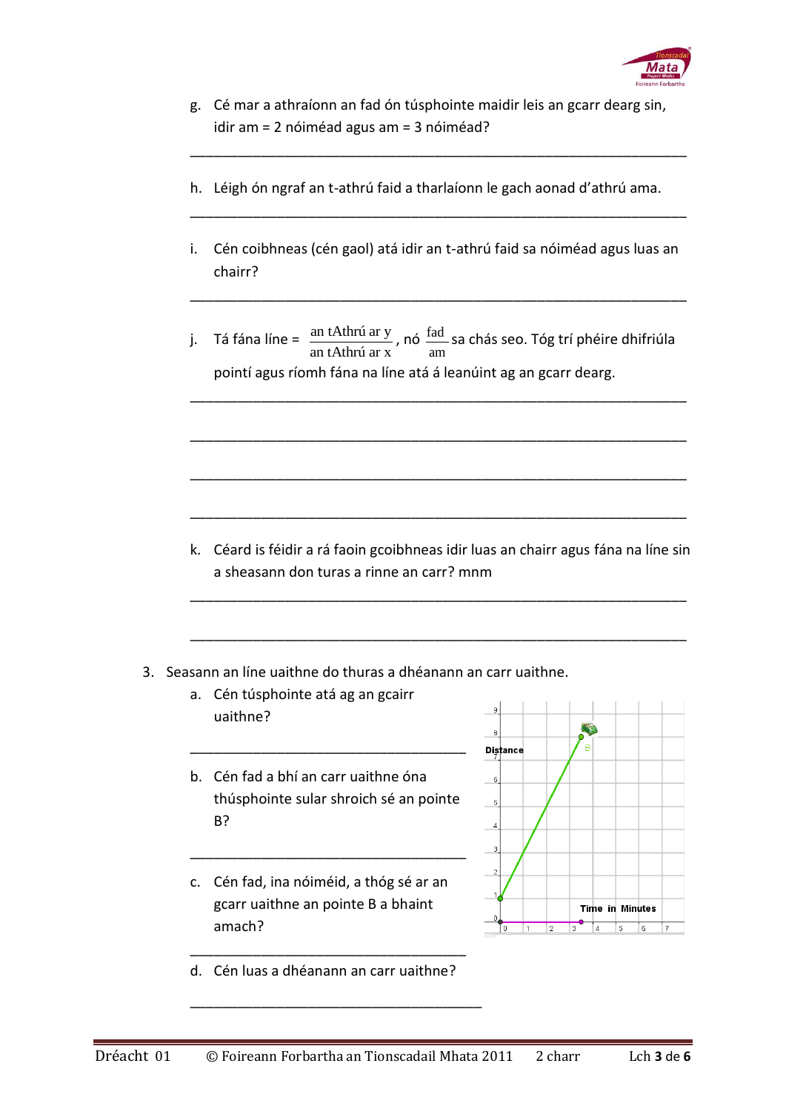

g. Cé mar a athraíonn an fad ón túsphointe maidir leis an gcarr dearg sin, idir am = 2 nóiméad agus am = 3 nóiméad?

\_\_\_\_\_\_\_\_\_\_\_\_\_\_\_\_\_\_\_\_\_\_\_\_\_\_\_\_\_\_\_\_\_\_\_\_\_\_\_\_\_\_\_\_\_\_\_\_\_\_\_\_\_\_\_\_\_\_\_\_\_\_\_

- h. Léigh ón ngraf an t-athrú faid a tharlaíonn le gach aonad d'athrú ama.
- i. Cén coibhneas (cén gaol) atá idir an t-athrú faid sa nóiméad agus luas an chairr?

\_\_\_\_\_\_\_\_\_\_\_\_\_\_\_\_\_\_\_\_\_\_\_\_\_\_\_\_\_\_\_\_\_\_\_\_\_\_\_\_\_\_\_\_\_\_\_\_\_\_\_\_\_\_\_\_\_\_\_\_\_\_\_

\_\_\_\_\_\_\_\_\_\_\_\_\_\_\_\_\_\_\_\_\_\_\_\_\_\_\_\_\_\_\_\_\_\_\_\_\_\_\_\_\_\_\_\_\_\_\_\_\_\_\_\_\_\_\_\_\_\_\_\_\_\_\_

j. Tá fána líne =  $\frac{\text{an thmú ar y}}{\text{m} + \text{m} + \text{m}}$ an tAthrú ar x , nó fad am sa chás seo. Tóg trí phéire dhifriúla pointí agus ríomh fána na líne atá á leanúint ag an gcarr dearg.

\_\_\_\_\_\_\_\_\_\_\_\_\_\_\_\_\_\_\_\_\_\_\_\_\_\_\_\_\_\_\_\_\_\_\_\_\_\_\_\_\_\_\_\_\_\_\_\_\_\_\_\_\_\_\_\_\_\_\_\_\_\_\_

\_\_\_\_\_\_\_\_\_\_\_\_\_\_\_\_\_\_\_\_\_\_\_\_\_\_\_\_\_\_\_\_\_\_\_\_\_\_\_\_\_\_\_\_\_\_\_\_\_\_\_\_\_\_\_\_\_\_\_\_\_\_\_

\_\_\_\_\_\_\_\_\_\_\_\_\_\_\_\_\_\_\_\_\_\_\_\_\_\_\_\_\_\_\_\_\_\_\_\_\_\_\_\_\_\_\_\_\_\_\_\_\_\_\_\_\_\_\_\_\_\_\_\_\_\_\_

\_\_\_\_\_\_\_\_\_\_\_\_\_\_\_\_\_\_\_\_\_\_\_\_\_\_\_\_\_\_\_\_\_\_\_\_\_\_\_\_\_\_\_\_\_\_\_\_\_\_\_\_\_\_\_\_\_\_\_\_\_\_\_

k. Céard is féidir a rá faoin gcoibhneas idir luas an chairr agus fána na líne sin a sheasann don turas a rinne an carr? mnm

\_\_\_\_\_\_\_\_\_\_\_\_\_\_\_\_\_\_\_\_\_\_\_\_\_\_\_\_\_\_\_\_\_\_\_\_\_\_\_\_\_\_\_\_\_\_\_\_\_\_\_\_\_\_\_\_\_\_\_\_\_\_\_

\_\_\_\_\_\_\_\_\_\_\_\_\_\_\_\_\_\_\_\_\_\_\_\_\_\_\_\_\_\_\_\_\_\_\_\_\_\_\_\_\_\_\_\_\_\_\_\_\_\_\_\_\_\_\_\_\_\_\_\_\_\_\_

- 3. Seasann an líne uaithne do thuras a dhéanann an carr uaithne.
	- a. Cén túsphointe atá ag an gcairr uaithne?
	- b. Cén fad a bhí an carr uaithne óna thúsphointe sular shroich sé an pointe B?

\_\_\_\_\_\_\_\_\_\_\_\_\_\_\_\_\_\_\_\_\_\_\_\_\_\_\_\_\_\_\_\_\_\_\_

\_\_\_\_\_\_\_\_\_\_\_\_\_\_\_\_\_\_\_\_\_\_\_\_\_\_\_\_\_\_\_\_\_\_\_

c. Cén fad, ina nóiméid, a thóg sé ar an gcarr uaithne an pointe B a bhaint amach?



\_\_\_\_\_\_\_\_\_\_\_\_\_\_\_\_\_\_\_\_\_\_\_\_\_\_\_\_\_\_\_\_\_\_\_ d. Cén luas a dhéanann an carr uaithne?

\_\_\_\_\_\_\_\_\_\_\_\_\_\_\_\_\_\_\_\_\_\_\_\_\_\_\_\_\_\_\_\_\_\_\_\_\_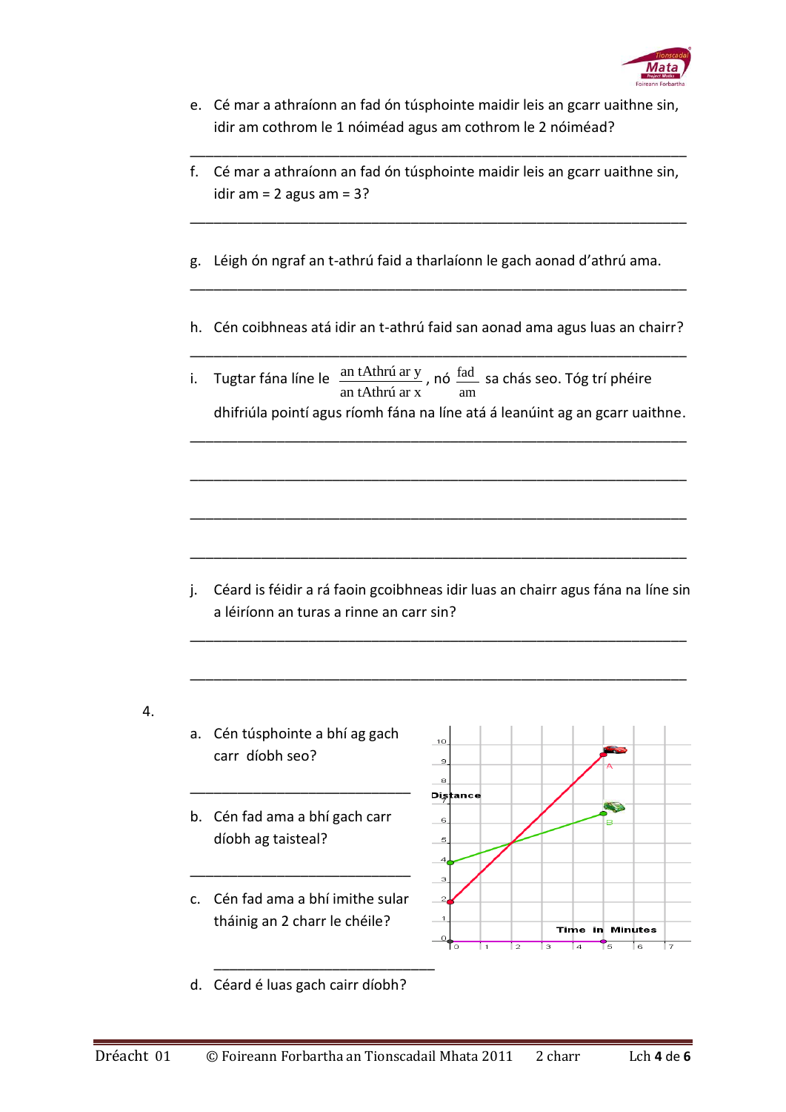

| e. Cé mar a athraíonn an fad ón túsphointe maidir leis an gcarr uaithne sin, |
|------------------------------------------------------------------------------|
| idir am cothrom le 1 nóiméad agus am cothrom le 2 nóiméad?                   |

| f. Cé mar a athraíonn an fad ón túsphointe maidir leis an gcarr uaithne sin, |
|------------------------------------------------------------------------------|
| idir am $= 2$ agus am $= 3$ ?                                                |

\_\_\_\_\_\_\_\_\_\_\_\_\_\_\_\_\_\_\_\_\_\_\_\_\_\_\_\_\_\_\_\_\_\_\_\_\_\_\_\_\_\_\_\_\_\_\_\_\_\_\_\_\_\_\_\_\_\_\_\_\_\_\_

\_\_\_\_\_\_\_\_\_\_\_\_\_\_\_\_\_\_\_\_\_\_\_\_\_\_\_\_\_\_\_\_\_\_\_\_\_\_\_\_\_\_\_\_\_\_\_\_\_\_\_\_\_\_\_\_\_\_\_\_\_\_\_

- g. Léigh ón ngraf an t-athrú faid a tharlaíonn le gach aonad d'athrú ama.
- h. Cén coibhneas atá idir an t-athrú faid san aonad ama agus luas an chairr? \_\_\_\_\_\_\_\_\_\_\_\_\_\_\_\_\_\_\_\_\_\_\_\_\_\_\_\_\_\_\_\_\_\_\_\_\_\_\_\_\_\_\_\_\_\_\_\_\_\_\_\_\_\_\_\_\_\_\_\_\_\_\_

\_\_\_\_\_\_\_\_\_\_\_\_\_\_\_\_\_\_\_\_\_\_\_\_\_\_\_\_\_\_\_\_\_\_\_\_\_\_\_\_\_\_\_\_\_\_\_\_\_\_\_\_\_\_\_\_\_\_\_\_\_\_\_

i. Tugtar fána líne le  $\frac{\text{an tAthrú ar y}}{\text{max}}$ an tAthrú ar x , nó fad am sa chás seo. Tóg trí phéire dhifriúla pointí agus ríomh fána na líne atá á leanúint ag an gcarr uaithne.

\_\_\_\_\_\_\_\_\_\_\_\_\_\_\_\_\_\_\_\_\_\_\_\_\_\_\_\_\_\_\_\_\_\_\_\_\_\_\_\_\_\_\_\_\_\_\_\_\_\_\_\_\_\_\_\_\_\_\_\_\_\_\_

\_\_\_\_\_\_\_\_\_\_\_\_\_\_\_\_\_\_\_\_\_\_\_\_\_\_\_\_\_\_\_\_\_\_\_\_\_\_\_\_\_\_\_\_\_\_\_\_\_\_\_\_\_\_\_\_\_\_\_\_\_\_\_

\_\_\_\_\_\_\_\_\_\_\_\_\_\_\_\_\_\_\_\_\_\_\_\_\_\_\_\_\_\_\_\_\_\_\_\_\_\_\_\_\_\_\_\_\_\_\_\_\_\_\_\_\_\_\_\_\_\_\_\_\_\_\_

\_\_\_\_\_\_\_\_\_\_\_\_\_\_\_\_\_\_\_\_\_\_\_\_\_\_\_\_\_\_\_\_\_\_\_\_\_\_\_\_\_\_\_\_\_\_\_\_\_\_\_\_\_\_\_\_\_\_\_\_\_\_\_

j. Céard is féidir a rá faoin gcoibhneas idir luas an chairr agus fána na líne sin a léiríonn an turas a rinne an carr sin?

\_\_\_\_\_\_\_\_\_\_\_\_\_\_\_\_\_\_\_\_\_\_\_\_\_\_\_\_\_\_\_\_\_\_\_\_\_\_\_\_\_\_\_\_\_\_\_\_\_\_\_\_\_\_\_\_\_\_\_\_\_\_\_

\_\_\_\_\_\_\_\_\_\_\_\_\_\_\_\_\_\_\_\_\_\_\_\_\_\_\_\_\_\_\_\_\_\_\_\_\_\_\_\_\_\_\_\_\_\_\_\_\_\_\_\_\_\_\_\_\_\_\_\_\_\_\_

- 4.
- a. Cén túsphointe a bhí ag gach carr díobh seo?
- b. Cén fad ama a bhí gach carr díobh ag taisteal?
- c. Cén fad ama a bhí imithe sular tháinig an 2 charr le chéile?



d. Céard é luas gach cairr díobh?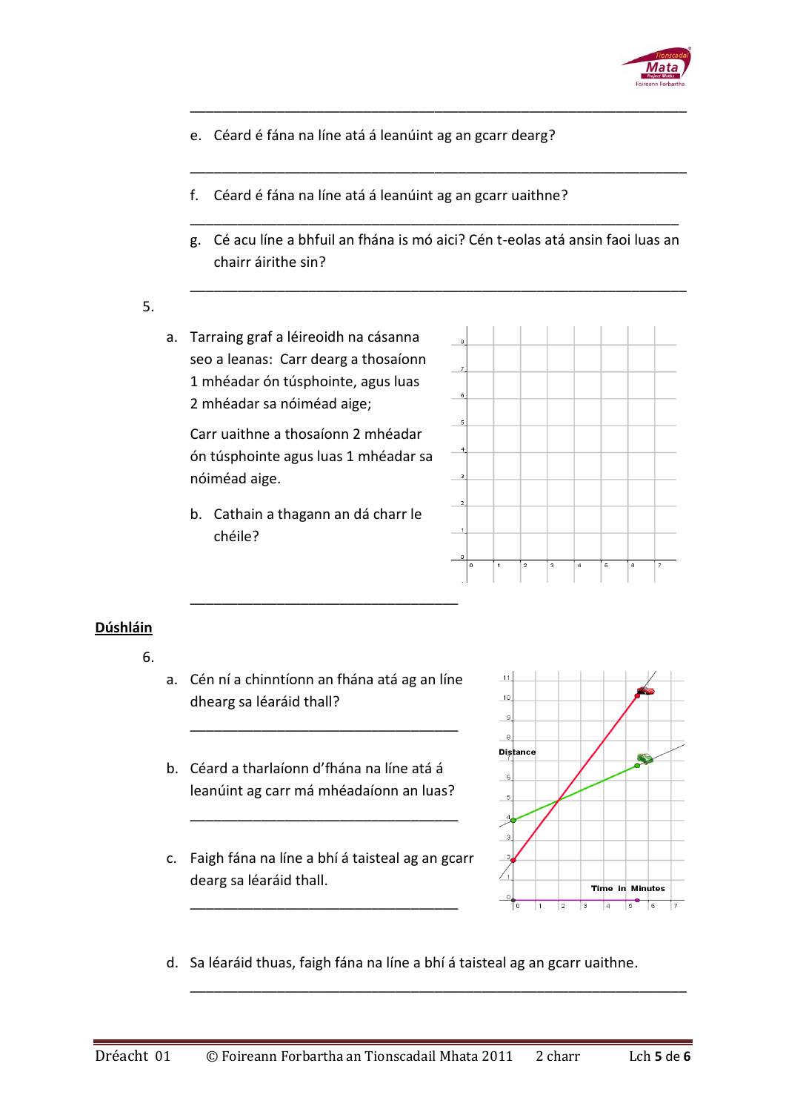

- e. Céard é fána na líne atá á leanúint ag an gcarr dearg?
- f. Céard é fána na líne atá á leanúint ag an gcarr uaithne?
- g. Cé acu líne a bhfuil an fhána is mó aici? Cén t-eolas atá ansin faoi luas an chairr áirithe sin?

\_\_\_\_\_\_\_\_\_\_\_\_\_\_\_\_\_\_\_\_\_\_\_\_\_\_\_\_\_\_\_\_\_\_\_\_\_\_\_\_\_\_\_\_\_\_\_\_\_\_\_\_\_\_\_\_\_\_\_\_\_\_\_

\_\_\_\_\_\_\_\_\_\_\_\_\_\_\_\_\_\_\_\_\_\_\_\_\_\_\_\_\_\_\_\_\_\_\_\_\_\_\_\_\_\_\_\_\_\_\_\_\_\_\_\_\_\_\_\_\_\_\_\_\_\_

\_\_\_\_\_\_\_\_\_\_\_\_\_\_\_\_\_\_\_\_\_\_\_\_\_\_\_\_\_\_\_\_\_\_\_\_\_\_\_\_\_\_\_\_\_\_\_\_\_\_\_\_\_\_\_\_\_\_\_\_\_\_\_

\_\_\_\_\_\_\_\_\_\_\_\_\_\_\_\_\_\_\_\_\_\_\_\_\_\_\_\_\_\_\_\_\_\_\_\_\_\_\_\_\_\_\_\_\_\_\_\_\_\_\_\_\_\_\_\_\_\_\_\_\_\_\_

## 5.

a. Tarraing graf a léireoidh na cásanna seo a leanas: Carr dearg a thosaíonn 1 mhéadar ón túsphointe, agus luas 2 mhéadar sa nóiméad aige;

Carr uaithne a thosaíonn 2 mhéadar ón túsphointe agus luas 1 mhéadar sa nóiméad aige.

b. Cathain a thagann an dá charr le chéile?



## **Dúshláin**

- 6.
- a. Cén ní a chinntíonn an fhána atá ag an líne dhearg sa léaráid thall?

\_\_\_\_\_\_\_\_\_\_\_\_\_\_\_\_\_\_\_\_\_\_\_\_\_\_\_\_\_\_\_\_\_\_

- b. Céard a tharlaíonn d'fhána na líne atá á leanúint ag carr má mhéadaíonn an luas?
- c. Faigh fána na líne a bhí á taisteal ag an gcarr dearg sa léaráid thall.

\_\_\_\_\_\_\_\_\_\_\_\_\_\_\_\_\_\_\_\_\_\_\_\_\_\_\_\_\_\_\_\_\_\_

\_\_\_\_\_\_\_\_\_\_\_\_\_\_\_\_\_\_\_\_\_\_\_\_\_\_\_\_\_\_\_\_\_\_



d. Sa léaráid thuas, faigh fána na líne a bhí á taisteal ag an gcarr uaithne.

\_\_\_\_\_\_\_\_\_\_\_\_\_\_\_\_\_\_\_\_\_\_\_\_\_\_\_\_\_\_\_\_\_\_\_\_\_\_\_\_\_\_\_\_\_\_\_\_\_\_\_\_\_\_\_\_\_\_\_\_\_\_\_